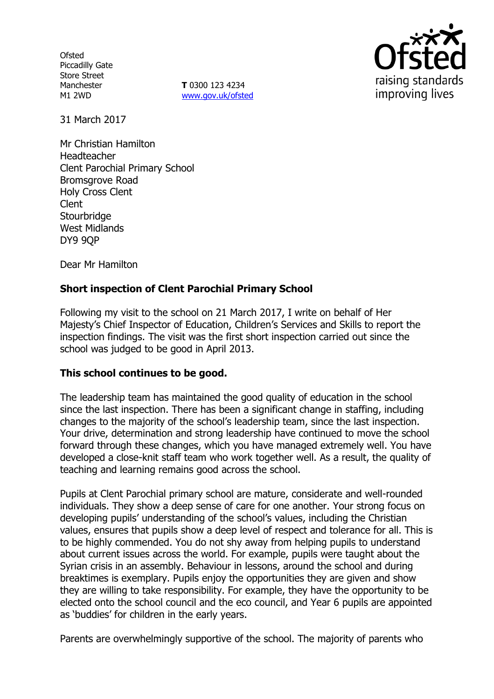**Ofsted** Piccadilly Gate Store Street Manchester M1 2WD

**T** 0300 123 4234 www.gov.uk/ofsted



31 March 2017

Mr Christian Hamilton Headteacher Clent Parochial Primary School Bromsgrove Road Holy Cross Clent Clent **Stourbridge** West Midlands DY9 9QP

Dear Mr Hamilton

# **Short inspection of Clent Parochial Primary School**

Following my visit to the school on 21 March 2017, I write on behalf of Her Majesty's Chief Inspector of Education, Children's Services and Skills to report the inspection findings. The visit was the first short inspection carried out since the school was judged to be good in April 2013.

## **This school continues to be good.**

The leadership team has maintained the good quality of education in the school since the last inspection. There has been a significant change in staffing, including changes to the majority of the school's leadership team, since the last inspection. Your drive, determination and strong leadership have continued to move the school forward through these changes, which you have managed extremely well. You have developed a close-knit staff team who work together well. As a result, the quality of teaching and learning remains good across the school.

Pupils at Clent Parochial primary school are mature, considerate and well-rounded individuals. They show a deep sense of care for one another. Your strong focus on developing pupils' understanding of the school's values, including the Christian values, ensures that pupils show a deep level of respect and tolerance for all. This is to be highly commended. You do not shy away from helping pupils to understand about current issues across the world. For example, pupils were taught about the Syrian crisis in an assembly. Behaviour in lessons, around the school and during breaktimes is exemplary. Pupils enjoy the opportunities they are given and show they are willing to take responsibility. For example, they have the opportunity to be elected onto the school council and the eco council, and Year 6 pupils are appointed as 'buddies' for children in the early years.

Parents are overwhelmingly supportive of the school. The majority of parents who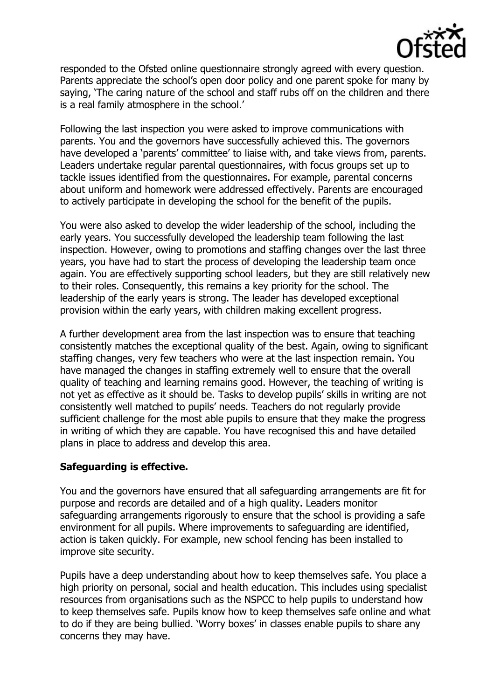

responded to the Ofsted online questionnaire strongly agreed with every question. Parents appreciate the school's open door policy and one parent spoke for many by saying, 'The caring nature of the school and staff rubs off on the children and there is a real family atmosphere in the school.'

Following the last inspection you were asked to improve communications with parents. You and the governors have successfully achieved this. The governors have developed a 'parents' committee' to liaise with, and take views from, parents. Leaders undertake regular parental questionnaires, with focus groups set up to tackle issues identified from the questionnaires. For example, parental concerns about uniform and homework were addressed effectively. Parents are encouraged to actively participate in developing the school for the benefit of the pupils.

You were also asked to develop the wider leadership of the school, including the early years. You successfully developed the leadership team following the last inspection. However, owing to promotions and staffing changes over the last three years, you have had to start the process of developing the leadership team once again. You are effectively supporting school leaders, but they are still relatively new to their roles. Consequently, this remains a key priority for the school. The leadership of the early years is strong. The leader has developed exceptional provision within the early years, with children making excellent progress.

A further development area from the last inspection was to ensure that teaching consistently matches the exceptional quality of the best. Again, owing to significant staffing changes, very few teachers who were at the last inspection remain. You have managed the changes in staffing extremely well to ensure that the overall quality of teaching and learning remains good. However, the teaching of writing is not yet as effective as it should be. Tasks to develop pupils' skills in writing are not consistently well matched to pupils' needs. Teachers do not regularly provide sufficient challenge for the most able pupils to ensure that they make the progress in writing of which they are capable. You have recognised this and have detailed plans in place to address and develop this area.

## **Safeguarding is effective.**

You and the governors have ensured that all safeguarding arrangements are fit for purpose and records are detailed and of a high quality. Leaders monitor safeguarding arrangements rigorously to ensure that the school is providing a safe environment for all pupils. Where improvements to safeguarding are identified, action is taken quickly. For example, new school fencing has been installed to improve site security.

Pupils have a deep understanding about how to keep themselves safe. You place a high priority on personal, social and health education. This includes using specialist resources from organisations such as the NSPCC to help pupils to understand how to keep themselves safe. Pupils know how to keep themselves safe online and what to do if they are being bullied. 'Worry boxes' in classes enable pupils to share any concerns they may have.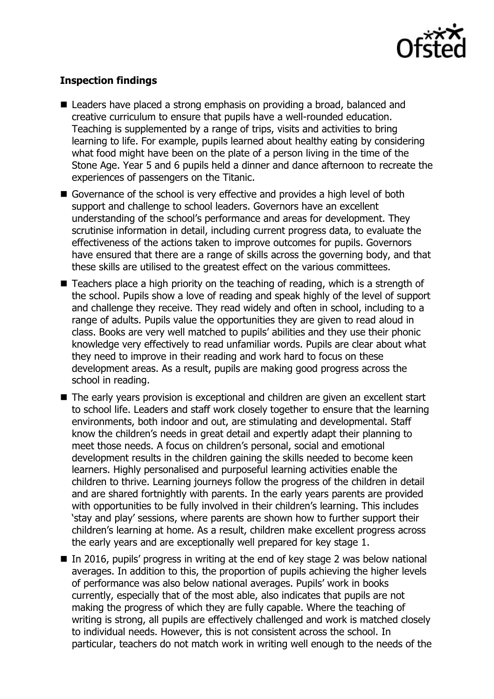

# **Inspection findings**

- Leaders have placed a strong emphasis on providing a broad, balanced and creative curriculum to ensure that pupils have a well-rounded education. Teaching is supplemented by a range of trips, visits and activities to bring learning to life. For example, pupils learned about healthy eating by considering what food might have been on the plate of a person living in the time of the Stone Age. Year 5 and 6 pupils held a dinner and dance afternoon to recreate the experiences of passengers on the Titanic.
- Governance of the school is very effective and provides a high level of both support and challenge to school leaders. Governors have an excellent understanding of the school's performance and areas for development. They scrutinise information in detail, including current progress data, to evaluate the effectiveness of the actions taken to improve outcomes for pupils. Governors have ensured that there are a range of skills across the governing body, and that these skills are utilised to the greatest effect on the various committees.
- $\blacksquare$  Teachers place a high priority on the teaching of reading, which is a strength of the school. Pupils show a love of reading and speak highly of the level of support and challenge they receive. They read widely and often in school, including to a range of adults. Pupils value the opportunities they are given to read aloud in class. Books are very well matched to pupils' abilities and they use their phonic knowledge very effectively to read unfamiliar words. Pupils are clear about what they need to improve in their reading and work hard to focus on these development areas. As a result, pupils are making good progress across the school in reading.
- The early years provision is exceptional and children are given an excellent start to school life. Leaders and staff work closely together to ensure that the learning environments, both indoor and out, are stimulating and developmental. Staff know the children's needs in great detail and expertly adapt their planning to meet those needs. A focus on children's personal, social and emotional development results in the children gaining the skills needed to become keen learners. Highly personalised and purposeful learning activities enable the children to thrive. Learning journeys follow the progress of the children in detail and are shared fortnightly with parents. In the early years parents are provided with opportunities to be fully involved in their children's learning. This includes 'stay and play' sessions, where parents are shown how to further support their children's learning at home. As a result, children make excellent progress across the early years and are exceptionally well prepared for key stage 1.
- In 2016, pupils' progress in writing at the end of key stage 2 was below national averages. In addition to this, the proportion of pupils achieving the higher levels of performance was also below national averages. Pupils' work in books currently, especially that of the most able, also indicates that pupils are not making the progress of which they are fully capable. Where the teaching of writing is strong, all pupils are effectively challenged and work is matched closely to individual needs. However, this is not consistent across the school. In particular, teachers do not match work in writing well enough to the needs of the